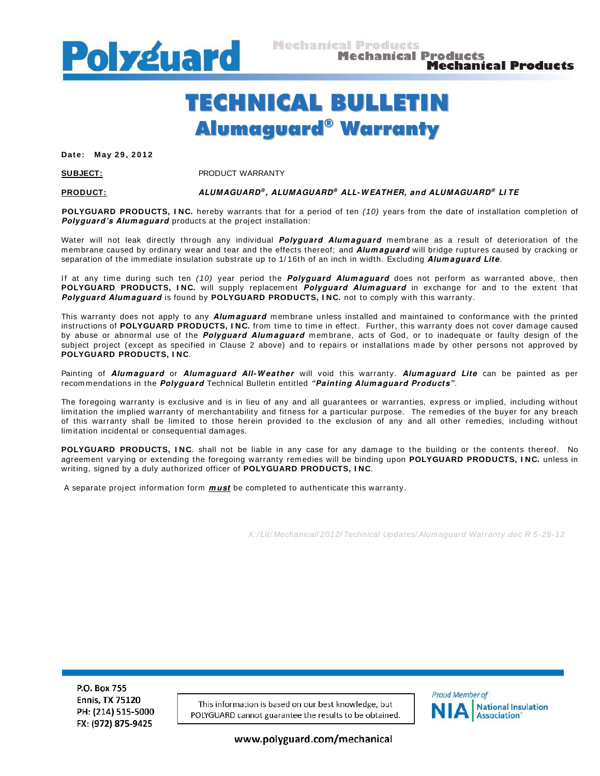

# TECHNICAL BULLETIN Alumaguard ® Warranty

**Date: May 2 9 , 2 0 1 2** 

**SUBJECT:** PRODUCT WARRANTY

#### **PRODUCT: ALUMAGUARD ® , ALUMAGUARD ® ALL- W EATHER, and ALUMAGUARD ® LI TE**

**POLYGUARD PRODUCTS, INC.** hereby warrants that for a period of ten (10) years from the date of installation completion of Polyguard's Alumaguard products at the project installation:

Water will not leak directly through any individual **Polyguard Alumaguard** membrane as a result of deterioration of the membrane caused by ordinary wear and tear and the effects thereof; and **Alum aguard** will bridge ruptures caused by cracking or separation of the immediate insulation substrate up to 1/16th of an inch in width. Excluding *Alumaguard Lite*.

If at any time during such ten (10) year period the **Polyguard Alumaguard** does not perform as warranted above, then **POLYGUARD PRODUCTS, I NC.** will supply replacement **Polyguard Alum aguard** in exchange for and to the extent that **Polyguard Alum aguard** is found by **POLYGUARD PRODUCTS, I NC.** not to comply with this warranty.

This warranty does not apply to any **Alum aguard** membrane unless installed and maintained to conformance with the printed instructions of POLYGUARD PRODUCTS, INC. from time to time in effect. Further, this warranty does not cover damage caused by abuse or abnormal use of the **Polyguard Alumaguard** membrane, acts of God, or to inadequate or faulty design of the subject project (except as specified in Clause 2 above) and to repairs or installations m ade by other persons not approved by **POLYGUARD PRODUCTS, I NC**.

Painting of **Alum aguard** or **Alum aguard All- W eather** will void this warranty. **Alum aguard Lite** can be painted as per recom mendations in the **Polyguard** Technical Bulletin entitled **"Painting Alum aguard Products"**.

The foregoing warranty is exclusive and is in lieu of any and all guarantees or warranties, express or implied, including without limitation the implied warranty of merchantability and fitness for a particular purpose. The rem edies of the buyer for any breach of this warranty shall be limited to those herein provided to the exclusion of any and all other rem edies, including without limitation incidental or consequential damages.

**POLYGUARD PRODUCTS, I NC**. shall not be liable in any case for any damage to the building or the contents thereof. No agreem ent varying or extending the foregoing warranty rem edies will be binding upon **POLYGUARD PRODUCTS, I NC.** unless in writing, signed by a duly authorized officer of **POLYGUARD PRODUCTS, I NC**.

A separate project inform ation form **m ust** be com pleted to authenticate this warranty.

X: / Lit/ Mechanical/ 2012/ Technical Updates/ Alumaguard Warranty.doc R 5-29-12

P.O. Box 755 **Ennis, TX 75120** PH: (214) 515-5000 FX: (972) 875-9425

This information is based on our best knowledge, but POLYGUARD cannot guarantee the results to be obtained.



www.polyguard.com/mechanical